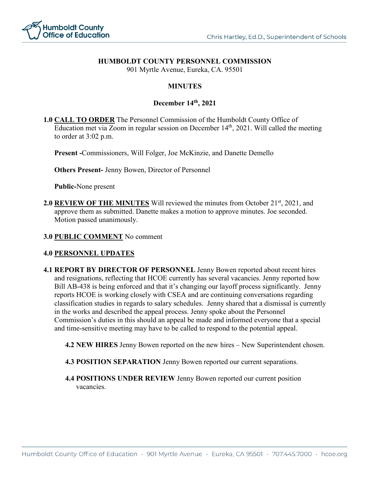

## **HUMBOLDT COUNTY PERSONNEL COMMISSION**

901 Myrtle Avenue, Eureka, CA. 95501

## **MINUTES**

## **December 14th, 2021**

**1.0 CALL TO ORDER** The Personnel Commission of the Humboldt County Office of Education met via Zoom in regular session on December  $14<sup>th</sup>$ , 2021. Will called the meeting to order at 3:02 p.m.

**Present -**Commissioners, Will Folger, Joe McKinzie, and Danette Demello

**Others Present-** Jenny Bowen, Director of Personnel

**Public-**None present

**2.0 REVIEW OF THE MINUTES** Will reviewed the minutes from October 21<sup>st</sup>, 2021, and approve them as submitted. Danette makes a motion to approve minutes. Joe seconded. Motion passed unanimously.

**3.0 PUBLIC COMMENT** No comment

## **4.0 PERSONNEL UPDATES**

**4.1 REPORT BY DIRECTOR OF PERSONNEL** Jenny Bowen reported about recent hires and resignations, reflecting that HCOE currently has several vacancies. Jenny reported how Bill AB-438 is being enforced and that it's changing our layoff process significantly. Jenny reports HCOE is working closely with CSEA and are continuing conversations regarding classification studies in regards to salary schedules. Jenny shared that a dismissal is currently in the works and described the appeal process. Jenny spoke about the Personnel Commission's duties in this should an appeal be made and informed everyone that a special and time-sensitive meeting may have to be called to respond to the potential appeal.

**4.2 NEW HIRES** Jenny Bowen reported on the new hires – New Superintendent chosen.

- **4.3 POSITION SEPARATION** Jenny Bowen reported our current separations.
- **4.4 POSITIONS UNDER REVIEW** Jenny Bowen reported our current position vacancies.